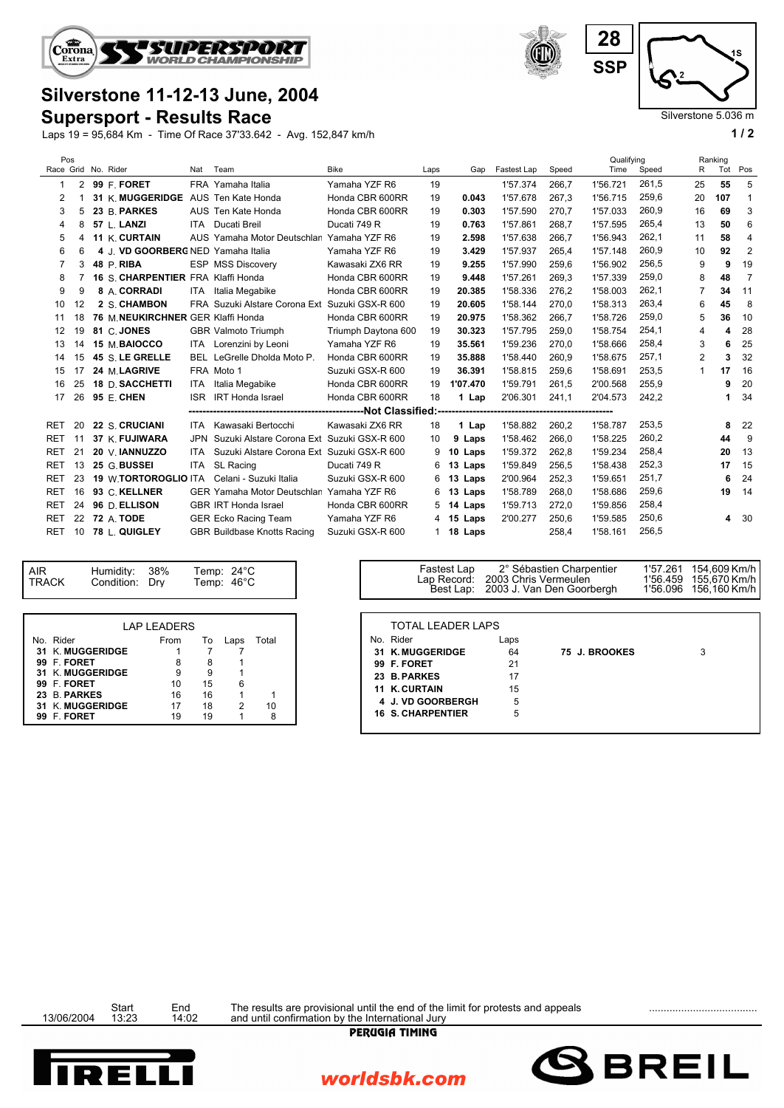

## **Silverstone 11-12-13 June, 2004**

**Supersport - Results Race**

Laps 19 = 95,684 Km - Time Of Race 37'33.642 - Avg. 152,847 km/h **1 / 2**



Silverstone 5.036 m

|  | Pos<br>Race Grid No. Rider |    |  |                                    | Nat        | Team                                       | <b>Bike</b>         | Laps | Gap              | Fastest Lap | Speed | Qualifying<br>Time | Speed | R              | Ranking<br>Tot | Pos            |
|--|----------------------------|----|--|------------------------------------|------------|--------------------------------------------|---------------------|------|------------------|-------------|-------|--------------------|-------|----------------|----------------|----------------|
|  | -1                         | 2  |  | 99 F. FORET                        |            | FRA Yamaha Italia                          | Yamaha YZF R6       | 19   |                  | 1'57.374    | 266,7 | 1'56.721           | 261,5 | 25             | 55             | 5              |
|  | 2                          |    |  | 31 K. MUGGERIDGE                   |            | AUS Ten Kate Honda                         | Honda CBR 600RR     | 19   | 0.043            | 1'57.678    | 267,3 | 1'56.715           | 259,6 | 20             | 107            |                |
|  | 3                          | 5  |  | 23 B. PARKES                       |            | AUS Ten Kate Honda                         | Honda CBR 600RR     | 19   | 0.303            | 1'57.590    | 270,7 | 1'57.033           | 260,9 | 16             | 69             | 3              |
|  | 4                          | 8  |  | 57 L. LANZI                        |            | <b>ITA</b> Ducati Breil                    | Ducati 749 R        | 19   | 0.763            | 1'57.861    | 268,7 | 1'57.595           | 265,4 | 13             | 50             | 6              |
|  | 5                          | 4  |  | 11 K. CURTAIN                      |            | AUS Yamaha Motor Deutschlan                | Yamaha YZF R6       | 19   | 2.598            | 1'57.638    | 266,7 | 1'56.943           | 262.1 | 11             | 58             | 4              |
|  | 6                          | 6  |  | 4 J. VD GOORBERG NED Yamaha Italia |            |                                            | Yamaha YZF R6       | 19   | 3.429            | 1'57.937    | 265,4 | 1'57.148           | 260.9 | 10             | 92             | $\overline{2}$ |
|  | 7                          | 3  |  | 48 P. RIBA                         |            | <b>ESP MSS Discovery</b>                   | Kawasaki ZX6 RR     | 19   | 9.255            | 1'57.990    | 259,6 | 1'56.902           | 256,5 | 9              | 9              | 19             |
|  | 8                          |    |  | 16 S. CHARPENTIER FRA Klaffi Honda |            |                                            | Honda CBR 600RR     | 19   | 9.448            | 1'57.261    | 269.3 | 1'57.339           | 259,0 | 8              | 48             | 7              |
|  | 9                          | 9  |  | 8 A. CORRADI                       |            | ITA Italia Megabike                        | Honda CBR 600RR     | 19   | 20.385           | 1'58.336    | 276,2 | 1'58.003           | 262,1 | $\overline{7}$ | 34             | 11             |
|  | 10                         | 12 |  | 2 S. CHAMBON                       |            | FRA Suzuki Alstare Corona Ext              | Suzuki GSX-R 600    | 19   | 20.605           | 1'58.144    | 270,0 | 1'58.313           | 263,4 | 6              | 45             | 8              |
|  | 11                         | 18 |  | 76 M. NEUKIRCHNER GER Klaffi Honda |            |                                            | Honda CBR 600RR     | 19   | 20.975           | 1'58.362    | 266,7 | 1'58.726           | 259.0 | 5              | 36             | 10             |
|  | 12                         | 19 |  | 81 C. JONES                        |            | <b>GBR Valmoto Triumph</b>                 | Triumph Daytona 600 | 19   | 30.323           | 1'57.795    | 259,0 | 1'58.754           | 254,1 | 4              | 4              | 28             |
|  | 13                         | 14 |  | 15 M. BAIOCCO                      |            | ITA Lorenzini by Leoni                     | Yamaha YZF R6       | 19   | 35.561           | 1'59.236    | 270,0 | 1'58.666           | 258,4 | 3              | 6              | 25             |
|  | 14                         | 15 |  | 45 S. LE GRELLE                    |            | BEL LeGrelle Dholda Moto P.                | Honda CBR 600RR     | 19   | 35.888           | 1'58.440    | 260,9 | 1'58.675           | 257,1 | $\overline{2}$ | 3              | 32             |
|  | 15                         | 17 |  | 24 M.LAGRIVE                       |            | FRA Moto 1                                 | Suzuki GSX-R 600    | 19   | 36.391           | 1'58.815    | 259.6 | 1'58.691           | 253,5 | 1              | 17             | 16             |
|  | 16                         | 25 |  | 18 D. SACCHETTI                    |            | ITA Italia Megabike                        | Honda CBR 600RR     | 19   | 1'07.470         | 1'59.791    | 261,5 | 2'00.568           | 255,9 |                | 9              | 20             |
|  | 17                         | 26 |  | 95 E. CHEN                         |            | <b>ISR IRT</b> Honda Israel                | Honda CBR 600RR     | 18   | 1 Lap            | 2'06.301    | 241,1 | 2'04.573           | 242.2 |                |                | 34             |
|  |                            |    |  |                                    |            |                                            |                     |      |                  |             |       |                    |       |                |                |                |
|  | <b>RET</b>                 | 20 |  | 22 S. CRUCIANI                     |            | ITA Kawasaki Bertocchi                     | Kawasaki ZX6 RR     | 18   | 1 Lap            | 1'58.882    | 260,2 | 1'58.787           | 253,5 |                | 8              | 22             |
|  | <b>RET</b>                 | 11 |  | 37 K. FUJIWARA                     | <b>JPN</b> | Suzuki Alstare Corona Ext                  | Suzuki GSX-R 600    | 10   | 9 Laps           | 1'58.462    | 266.0 | 1'58.225           | 260,2 |                | 44             | 9              |
|  | <b>RET</b>                 | 21 |  | 20 V. IANNUZZO                     | ITA        | Suzuki Alstare Corona Ext Suzuki GSX-R 600 |                     | 9    | 10 Laps          | 1'59.372    | 262,8 | 1'59.234           | 258,4 |                | 20             | 13             |
|  | <b>RET</b>                 | 13 |  | 25 G. BUSSEI                       | ITA        | SL Racing                                  | Ducati 749 R        | 6    | 13 Laps          | 1'59.849    | 256,5 | 1'58.438           | 252,3 |                | 17             | 15             |
|  | <b>RET</b>                 | 23 |  | <b>19 W.TORTOROGLIO ITA</b>        |            | Celani - Suzuki Italia                     | Suzuki GSX-R 600    |      | 6 13 Laps        | 2'00.964    | 252,3 | 1'59.651           | 251,7 |                | 6              | 24             |
|  | <b>RET</b>                 | 16 |  | 93 C. KELLNER                      |            | <b>GER Yamaha Motor Deutschlan</b>         | Yamaha YZF R6       | 6    | 13 Laps          | 1'58.789    | 268,0 | 1'58.686           | 259,6 |                | 19             | 14             |
|  | <b>RET</b>                 | 24 |  | 96 D. ELLISON                      |            | <b>GBR IRT Honda Israel</b>                | Honda CBR 600RR     |      | 5 <b>14 Laps</b> | 1'59.713    | 272.0 | 1'59.856           | 258,4 |                |                |                |
|  | <b>RET</b>                 | 22 |  | <b>72 A. TODE</b>                  |            | <b>GER Ecko Racing Team</b>                | Yamaha YZF R6       |      | 4 15 Laps        | 2'00.277    | 250,6 | 1'59.585           | 250,6 |                | 4              | -30            |
|  | <b>RET</b>                 | 10 |  | 78 L. QUIGLEY                      |            | <b>GBR Buildbase Knotts Racing</b>         | Suzuki GSX-R 600    |      | 1 18 Laps        |             | 258,4 | 1'58.161           | 256,5 |                |                |                |

| <b>AIR</b><br><b>TRACK</b> | Humidity:<br>Condition: Drv | - 38%              |    | Temp: $24^{\circ}$ C<br>Temp: 46°C |       |        |  |
|----------------------------|-----------------------------|--------------------|----|------------------------------------|-------|--------|--|
|                            |                             | <b>LAP LEADERS</b> |    |                                    |       |        |  |
| No. Rider                  |                             | From               | To | Laps                               | Total | No. Ri |  |
| 31 K. MUGGERIDGE           |                             |                    |    |                                    |       | 31 K.  |  |
| 99 F. FORET                |                             | 8                  | 8  |                                    |       | 99 F.  |  |
| 31 K. MUGGERIDGE           |                             | 9                  |    |                                    |       | 23 B.  |  |
| 99 F. FORET                |                             | 10                 | 15 | 6                                  |       | 11 K.  |  |
| 23 B. PARKES               |                             | 16                 | 16 |                                    |       |        |  |
| 31 K. MUGGERIDGE           |                             | 17                 | 18 | 2                                  | 10    | 4 J.   |  |
| 99 F. FORET                |                             | 19                 | 19 |                                    | 8     | 16 S.  |  |

| <b>TOTAL LEADER LAPS</b> |      |               |   |  |
|--------------------------|------|---------------|---|--|
| No. Rider                | Laps |               |   |  |
| 31 K. MUGGERIDGE         | 64   | 75 J. BROOKES | 3 |  |
| 99 F. FORET              | 21   |               |   |  |
| 23 B. PARKES             | 17   |               |   |  |
| <b>11 K. CURTAIN</b>     | 15   |               |   |  |
| 4 J. VD GOORBERGH        | 5    |               |   |  |
| <b>16 S. CHARPENTIER</b> | 5    |               |   |  |
|                          |      |               |   |  |

**BREIL** 



Start End The results are provisional until the end of the limit for protests and appeals<br>13/06/2004 13:23 14:02 and until confirmation by the International Jury